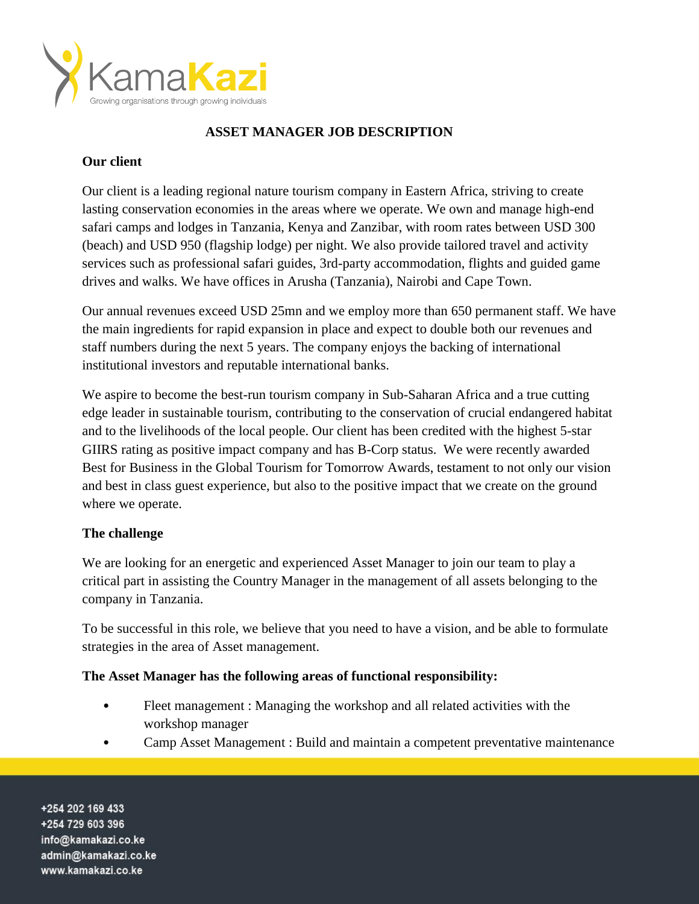

# **ASSET MANAGER JOB DESCRIPTION**

### **Our client**

Our client is a leading regional nature tourism company in Eastern Africa, striving to create lasting conservation economies in the areas where we operate. We own and manage high-end safari camps and lodges in Tanzania, Kenya and Zanzibar, with room rates between USD 300 (beach) and USD 950 (flagship lodge) per night. We also provide tailored travel and activity services such as professional safari guides, 3rd-party accommodation, flights and guided game drives and walks. We have offices in Arusha (Tanzania), Nairobi and Cape Town.

Our annual revenues exceed USD 25mn and we employ more than 650 permanent staff. We have the main ingredients for rapid expansion in place and expect to double both our revenues and staff numbers during the next 5 years. The company enjoys the backing of international institutional investors and reputable international banks.

We aspire to become the best-run tourism company in Sub-Saharan Africa and a true cutting edge leader in sustainable tourism, contributing to the conservation of crucial endangered habitat and to the livelihoods of the local people. Our client has been credited with the highest 5-star GIIRS rating as positive impact company and has B-Corp status. We were recently awarded Best for Business in the Global Tourism for Tomorrow Awards, testament to not only our vision and best in class guest experience, but also to the positive impact that we create on the ground where we operate.

## **The challenge**

We are looking for an energetic and experienced Asset Manager to join our team to play a critical part in assisting the Country Manager in the management of all assets belonging to the company in Tanzania.

To be successful in this role, we believe that you need to have a vision, and be able to formulate strategies in the area of Asset management.

#### **The Asset Manager has the following areas of functional responsibility:**

- Fleet management : Managing the workshop and all related activities with the workshop manager
- Camp Asset Management : Build and maintain a competent preventative maintenance

+254 202 169 433 +254 729 603 396 info@kamakazi.co.ke admin@kamakazi.co.ke www.kamakazi.co.ke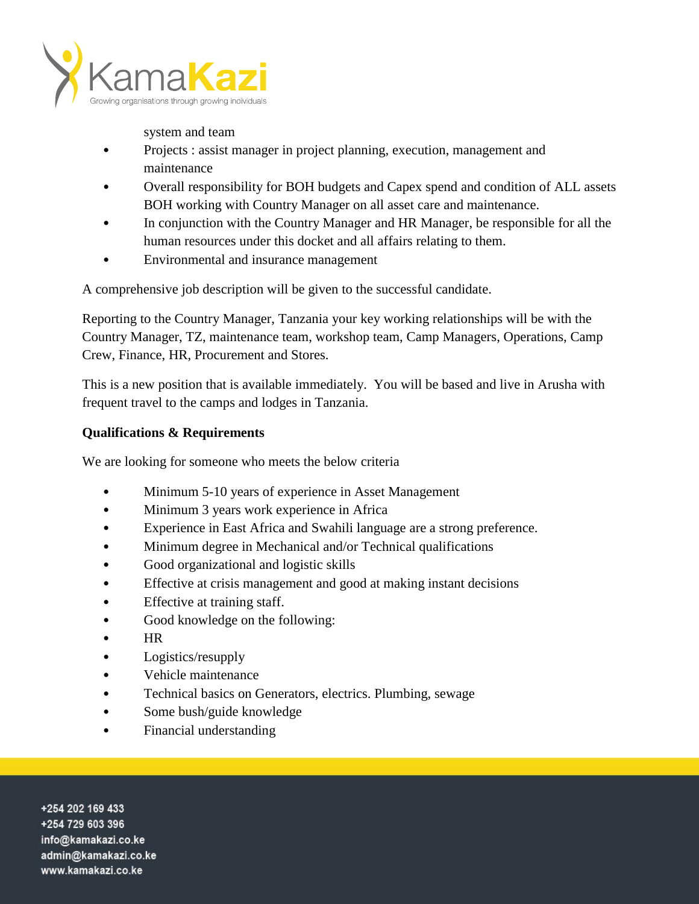

system and team

- Projects : assist manager in project planning, execution, management and maintenance
- Overall responsibility for BOH budgets and Capex spend and condition of ALL assets BOH working with Country Manager on all asset care and maintenance.
- In conjunction with the Country Manager and HR Manager, be responsible for all the human resources under this docket and all affairs relating to them.
- Environmental and insurance management

A comprehensive job description will be given to the successful candidate.

Reporting to the Country Manager, Tanzania your key working relationships will be with the Country Manager, TZ, maintenance team, workshop team, Camp Managers, Operations, Camp Crew, Finance, HR, Procurement and Stores.

This is a new position that is available immediately. You will be based and live in Arusha with frequent travel to the camps and lodges in Tanzania.

# **Qualifications & Requirements**

We are looking for someone who meets the below criteria

- Minimum 5-10 years of experience in Asset Management
- Minimum 3 years work experience in Africa
- Experience in East Africa and Swahili language are a strong preference.
- Minimum degree in Mechanical and/or Technical qualifications
- Good organizational and logistic skills
- Effective at crisis management and good at making instant decisions
- Effective at training staff.
- Good knowledge on the following:
- HR
- Logistics/resupply
- Vehicle maintenance
- Technical basics on Generators, electrics. Plumbing, sewage
- Some bush/guide knowledge
- Financial understanding

+254 202 169 433 +254 729 603 396 info@kamakazi.co.ke admin@kamakazi.co.ke www.kamakazi.co.ke